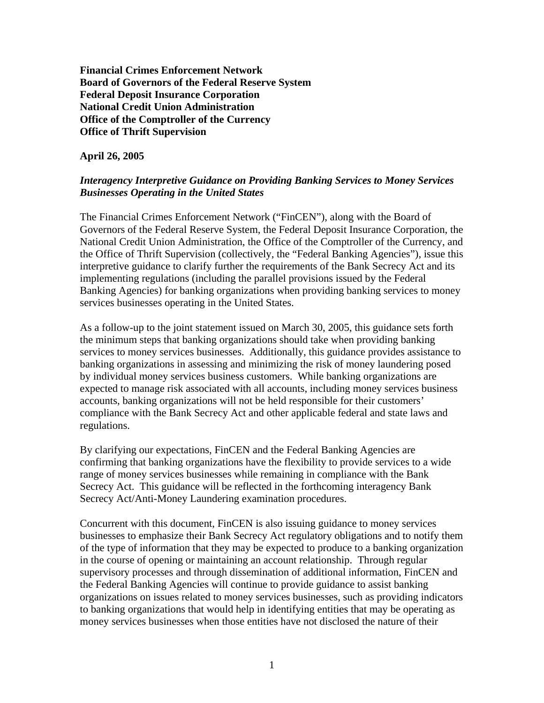**Financial Crimes Enforcement Network Board of Governors of the Federal Reserve System Federal Deposit Insurance Corporation National Credit Union Administration Office of the Comptroller of the Currency Office of Thrift Supervision** 

**April 26, 2005** 

# *Interagency Interpretive Guidance on Providing Banking Services to Money Services Businesses Operating in the United States*

The Financial Crimes Enforcement Network ("FinCEN"), along with the Board of Governors of the Federal Reserve System, the Federal Deposit Insurance Corporation, the National Credit Union Administration, the Office of the Comptroller of the Currency, and the Office of Thrift Supervision (collectively, the "Federal Banking Agencies"), issue this interpretive guidance to clarify further the requirements of the Bank Secrecy Act and its implementing regulations (including the parallel provisions issued by the Federal Banking Agencies) for banking organizations when providing banking services to money services businesses operating in the United States.

As a follow-up to the joint statement issued on March 30, 2005, this guidance sets forth the minimum steps that banking organizations should take when providing banking services to money services businesses. Additionally, this guidance provides assistance to banking organizations in assessing and minimizing the risk of money laundering posed by individual money services business customers. While banking organizations are expected to manage risk associated with all accounts, including money services business accounts, banking organizations will not be held responsible for their customers' compliance with the Bank Secrecy Act and other applicable federal and state laws and regulations.

By clarifying our expectations, FinCEN and the Federal Banking Agencies are confirming that banking organizations have the flexibility to provide services to a wide range of money services businesses while remaining in compliance with the Bank Secrecy Act. This guidance will be reflected in the forthcoming interagency Bank Secrecy Act/Anti-Money Laundering examination procedures.

Concurrent with this document, FinCEN is also issuing guidance to money services businesses to emphasize their Bank Secrecy Act regulatory obligations and to notify them of the type of information that they may be expected to produce to a banking organization in the course of opening or maintaining an account relationship. Through regular supervisory processes and through dissemination of additional information, FinCEN and the Federal Banking Agencies will continue to provide guidance to assist banking organizations on issues related to money services businesses, such as providing indicators to banking organizations that would help in identifying entities that may be operating as money services businesses when those entities have not disclosed the nature of their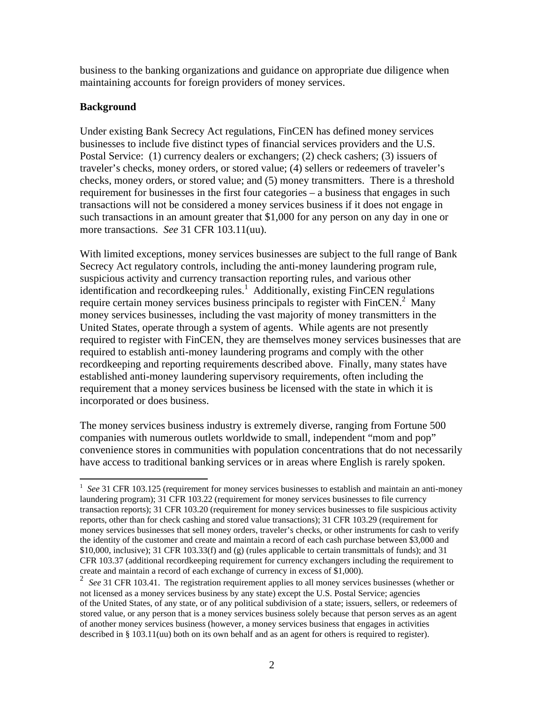business to the banking organizations and guidance on appropriate due diligence when maintaining accounts for foreign providers of money services.

#### **Background**

Under existing Bank Secrecy Act regulations, FinCEN has defined money services businesses to include five distinct types of financial services providers and the U.S. Postal Service: (1) currency dealers or exchangers; (2) check cashers; (3) issuers of traveler's checks, money orders, or stored value; (4) sellers or redeemers of traveler's checks, money orders, or stored value; and (5) money transmitters. There is a threshold requirement for businesses in the first four categories – a business that engages in such transactions will not be considered a money services business if it does not engage in such transactions in an amount greater that \$1,000 for any person on any day in one or more transactions. *See* 31 CFR 103.11(uu).

With limited exceptions, money services businesses are subject to the full range of Bank Secrecy Act regulatory controls, including the anti-money laundering program rule, suspicious activity and currency transaction reporting rules, and various other identification and recordkeeping rules.<sup>1</sup> Additionally, existing FinCEN regulations requirecertain money services business principals to register with  $\text{FinCEN}$ <sup>2</sup> Many money services businesses, including the vast majority of money transmitters in the United States, operate through a system of agents. While agents are not presently required to register with FinCEN, they are themselves money services businesses that are required to establish anti-money laundering programs and comply with the other recordkeeping and reporting requirements described above. Finally, many states have established anti-money laundering supervisory requirements, often including the requirement that a money services business be licensed with the state in which it is incorporated or does business.

The money services business industry is extremely diverse, ranging from Fortune 500 companies with numerous outlets worldwide to small, independent "mom and pop" convenience stores in communities with population concentrations that do not necessarily have access to traditional banking services or in areas where English is rarely spoken.

<span id="page-1-0"></span> $\overline{a}$ <sup>1</sup> See 31 CFR 103.125 (requirement for money services businesses to establish and maintain an anti-money laundering program); 31 CFR 103.22 (requirement for money services businesses to file currency transaction reports); 31 CFR 103.20 (requirement for money services businesses to file suspicious activity reports, other than for check cashing and stored value transactions); 31 CFR 103.29 (requirement for money services businesses that sell money orders, traveler's checks, or other instruments for cash to verify the identity of the customer and create and maintain a record of each cash purchase between \$3,000 and  $$10,000$ , inclusive); 31 CFR 103.33(f) and (g) (rules applicable to certain transmittals of funds); and 31 CFR 103.37 (additional recordkeeping requirement for currency exchangers including the requirement to create and maintain a record of each exchange of currency in excess of \$1,000).

<span id="page-1-1"></span><sup>2</sup> *See* 31 CFR 103.41. The registration requirement applies to all money services businesses (whether or not licensed as a money services business by any state) except the U.S. Postal Service; agencies of the United States, of any state, or of any political subdivision of a state; issuers, sellers, or redeemers of stored value, or any person that is a money services business solely because that person serves as an agent of another money services business (however, a money services business that engages in activities described in § 103.11(uu) both on its own behalf and as an agent for others is required to register).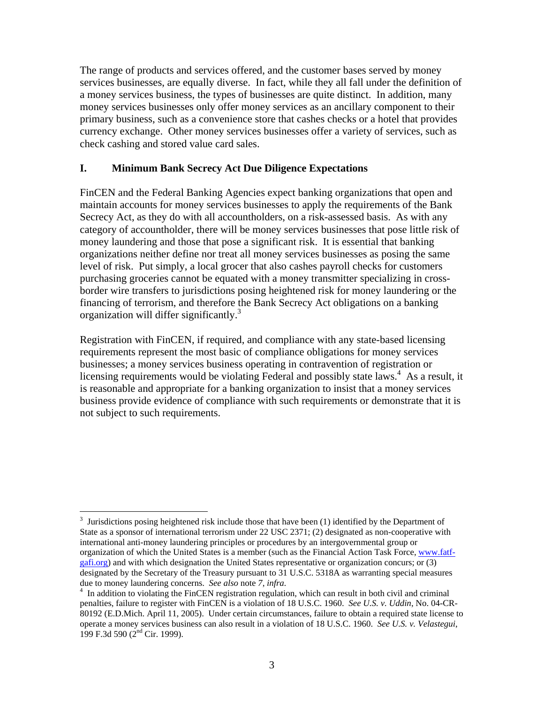The range of products and services offered, and the customer bases served by money services businesses, are equally diverse. In fact, while they all fall under the definition of a money services business, the types of businesses are quite distinct. In addition, many money services businesses only offer money services as an ancillary component to their primary business, such as a convenience store that cashes checks or a hotel that provides currency exchange. Other money services businesses offer a variety of services, such as check cashing and stored value card sales.

#### **I. Minimum Bank Secrecy Act Due Diligence Expectations**

FinCEN and the Federal Banking Agencies expect banking organizations that open and maintain accounts for money services businesses to apply the requirements of the Bank Secrecy Act, as they do with all accountholders, on a risk-assessed basis. As with any category of accountholder, there will be money services businesses that pose little risk of money laundering and those that pose a significant risk. It is essential that banking organizations neither define nor treat all money services businesses as posing the same level of risk. Put simply, a local grocer that also cashes payroll checks for customers purchasing groceries cannot be equated with a money transmitter specializing in crossborder wire transfers to jurisdictions posing heightened risk for money laundering or the financing of terrorism, and therefore the Bank Secrecy Act obligations on a banking organization will differ significantly[.3](#page-2-0)

Registration with FinCEN, if required, and compliance with any state-based licensing requirements represent the most basic of compliance obligations for money services businesses; a money services business operating in contravention of registration or licensing requirements would be violating Federal and possibly state laws.<sup>[4](#page-2-1)</sup> As a result, it is reasonable and appropriate for a banking organization to insist that a money services business provide evidence of compliance with such requirements or demonstrate that it is not subject to such requirements.

 $\overline{a}$ 

<span id="page-2-0"></span> $3$  Jurisdictions posing heightened risk include those that have been (1) identified by the Department of State as a sponsor of international terrorism under 22 USC 2371; (2) designated as non-cooperative with international anti-money laundering principles or procedures by an intergovernmental group or organization of which the United States is a member (such as the Financial Action Task Force, [www.fatf](http://www.fatf-gafi.org/)[gafi.org](http://www.fatf-gafi.org/)) and with which designation the United States representative or organization concurs; or (3) designated by the Secretary of the Treasury pursuant to 31 U.S.C. 5318A as warranting special measures due to money laundering concerns. *See also* note *7*, *infra.* <sup>4</sup>

<span id="page-2-1"></span><sup>&</sup>lt;sup>4</sup> In addition to violating the FinCEN registration regulation, which can result in both civil and criminal penalties, failure to register with FinCEN is a violation of 18 U.S.C. 1960. *See U.S. v. Uddin*, No. 04-CR-80192 (E.D.Mich. April 11, 2005). Under certain circumstances, failure to obtain a required state license to operate a money services business can also result in a violation of 18 U.S.C. 1960. *See U.S. v. Velastegui*, 199 F.3d 590 (2nd Cir. 1999).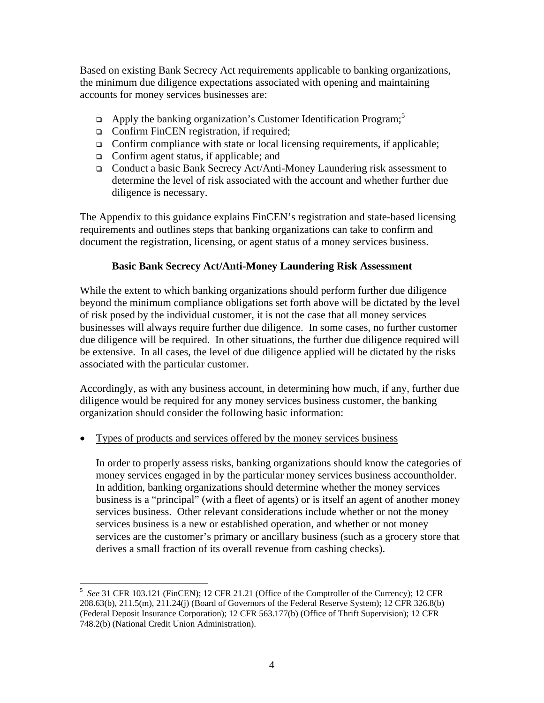Based on existing Bank Secrecy Act requirements applicable to banking organizations, the minimum due diligence expectations associated with opening and maintaining accounts for money services businesses are:

- $\Box$  Apply the banking organization's Customer Identification Program;<sup>[5](#page-3-0)</sup>
- □ Confirm FinCEN registration, if required;
- Confirm compliance with state or local licensing requirements, if applicable;
- □ Confirm agent status, if applicable; and
- Conduct a basic Bank Secrecy Act/Anti-Money Laundering risk assessment to determine the level of risk associated with the account and whether further due diligence is necessary.

The Appendix to this guidance explains FinCEN's registration and state-based licensing requirements and outlines steps that banking organizations can take to confirm and document the registration, licensing, or agent status of a money services business.

#### **Basic Bank Secrecy Act/Anti-Money Laundering Risk Assessment**

While the extent to which banking organizations should perform further due diligence beyond the minimum compliance obligations set forth above will be dictated by the level of risk posed by the individual customer, it is not the case that all money services businesses will always require further due diligence. In some cases, no further customer due diligence will be required. In other situations, the further due diligence required will be extensive. In all cases, the level of due diligence applied will be dictated by the risks associated with the particular customer.

Accordingly, as with any business account, in determining how much, if any, further due diligence would be required for any money services business customer, the banking organization should consider the following basic information:

• Types of products and services offered by the money services business

In order to properly assess risks, banking organizations should know the categories of money services engaged in by the particular money services business accountholder. In addition, banking organizations should determine whether the money services business is a "principal" (with a fleet of agents) or is itself an agent of another money services business. Other relevant considerations include whether or not the money services business is a new or established operation, and whether or not money services are the customer's primary or ancillary business (such as a grocery store that derives a small fraction of its overall revenue from cashing checks).

<span id="page-3-0"></span> $\overline{a}$ <sup>5</sup> See 31 CFR 103.121 (FinCEN); 12 CFR 21.21 (Office of the Comptroller of the Currency); 12 CFR 208.63(b), 211.5(m), 211.24(j) (Board of Governors of the Federal Reserve System); 12 CFR 326.8(b) (Federal Deposit Insurance Corporation); 12 CFR 563.177(b) (Office of Thrift Supervision); 12 CFR 748.2(b) (National Credit Union Administration).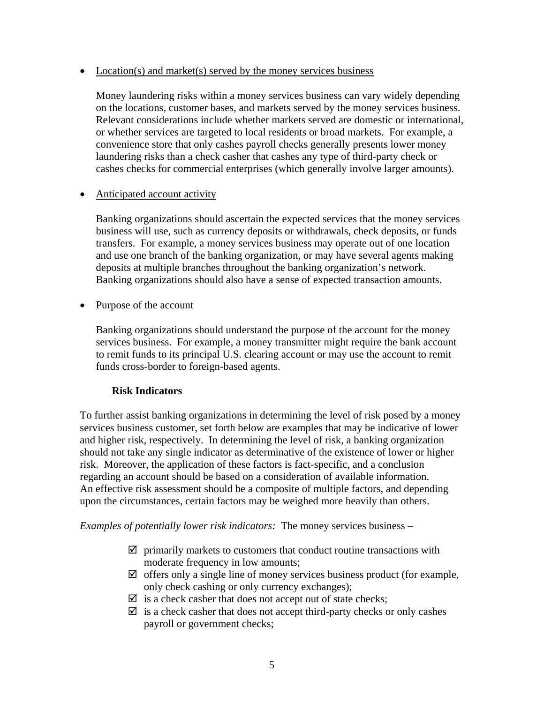#### • Location(s) and market(s) served by the money services business

Money laundering risks within a money services business can vary widely depending on the locations, customer bases, and markets served by the money services business. Relevant considerations include whether markets served are domestic or international, or whether services are targeted to local residents or broad markets. For example, a convenience store that only cashes payroll checks generally presents lower money laundering risks than a check casher that cashes any type of third-party check or cashes checks for commercial enterprises (which generally involve larger amounts).

#### • Anticipated account activity

Banking organizations should ascertain the expected services that the money services business will use, such as currency deposits or withdrawals, check deposits, or funds transfers. For example, a money services business may operate out of one location and use one branch of the banking organization, or may have several agents making deposits at multiple branches throughout the banking organization's network. Banking organizations should also have a sense of expected transaction amounts.

• Purpose of the account

Banking organizations should understand the purpose of the account for the money services business. For example, a money transmitter might require the bank account to remit funds to its principal U.S. clearing account or may use the account to remit funds cross-border to foreign-based agents.

# **Risk Indicators**

To further assist banking organizations in determining the level of risk posed by a money services business customer, set forth below are examples that may be indicative of lower and higher risk, respectively. In determining the level of risk, a banking organization should not take any single indicator as determinative of the existence of lower or higher risk. Moreover, the application of these factors is fact-specific, and a conclusion regarding an account should be based on a consideration of available information. An effective risk assessment should be a composite of multiple factors, and depending upon the circumstances, certain factors may be weighed more heavily than others.

*Examples of potentially lower risk indicators:* The money services business –

- $\boxtimes$  primarily markets to customers that conduct routine transactions with moderate frequency in low amounts;
- $\boxtimes$  offers only a single line of money services business product (for example, only check cashing or only currency exchanges);
- $\triangleright$  is a check casher that does not accept out of state checks;
- $\boxtimes$  is a check casher that does not accept third-party checks or only cashes payroll or government checks;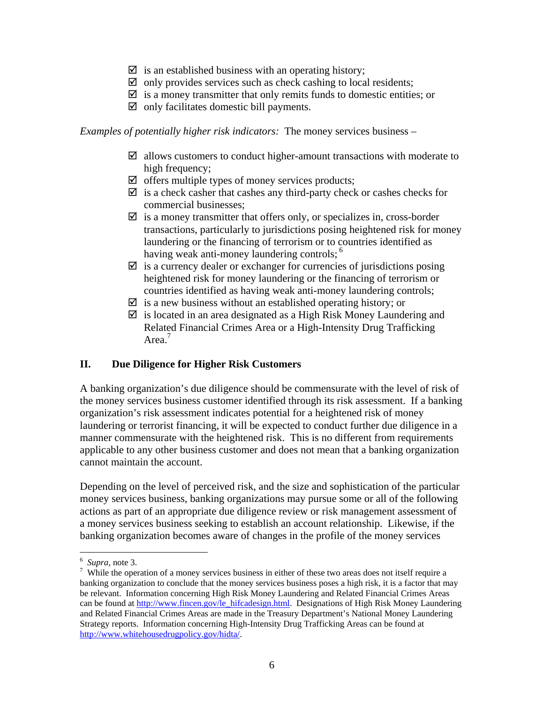- $\triangledown$  is an established business with an operating history;
- $\boxtimes$  only provides services such as check cashing to local residents;
- $\boxtimes$  is a money transmitter that only remits funds to domestic entities; or
- $\boxtimes$  only facilitates domestic bill payments.

*Examples of potentially higher risk indicators:* The money services business –

- $\boxtimes$  allows customers to conduct higher-amount transactions with moderate to high frequency;
- $\boxtimes$  offers multiple types of money services products;
- $\boxtimes$  is a check casher that cashes any third-party check or cashes checks for commercial businesses;
- $\boxtimes$  is a money transmitter that offers only, or specializes in, cross-border transactions, particularly to jurisdictions posing heightened risk for money laundering or the financing of terrorism or to countries identified as having weak anti-money laundering controls; <sup>6</sup>
- $\boxtimes$  is a currency dealer or exchanger for currencies of jurisdictions posing heightened risk for money laundering or the financing of terrorism or countries identified as having weak anti-money laundering controls;
- $\boxtimes$  is a new business without an established operating history; or
- $\boxtimes$  is located in an area designated as a High Risk Money Laundering and Related Financial Crimes Area or a High-Intensity Drug Trafficking Area.<sup>7</sup>

# **II. Due Diligence for Higher Risk Customers**

A banking organization's due diligence should be commensurate with the level of risk of the money services business customer identified through its risk assessment. If a banking organization's risk assessment indicates potential for a heightened risk of money laundering or terrorist financing, it will be expected to conduct further due diligence in a manner commensurate with the heightened risk. This is no different from requirements applicable to any other business customer and does not mean that a banking organization cannot maintain the account.

Depending on the level of perceived risk, and the size and sophistication of the particular money services business, banking organizations may pursue some or all of the following actions as part of an appropriate due diligence review or risk management assessment of a money services business seeking to establish an account relationship. Likewise, if the banking organization becomes aware of changes in the profile of the money services

 $\overline{a}$ 

<span id="page-5-0"></span> $\frac{6}{7}$  *Supra*, note 3.

<span id="page-5-1"></span> $\frac{7}{1}$  While the operation of a money services business in either of these two areas does not itself require a banking organization to conclude that the money services business poses a high risk, it is a factor that may be relevant. Information concerning High Risk Money Laundering and Related Financial Crimes Areas can be found at [http://www.fincen.gov/le\\_hifcadesign.html](http://www.fincen.gov/le_hifcadesign.html). Designations of High Risk Money Laundering and Related Financial Crimes Areas are made in the Treasury Department's National Money Laundering Strategy reports. Information concerning High-Intensity Drug Trafficking Areas can be found at [http://www.whitehousedrugpolicy.gov/hidta/.](http://www.whitehousedrugpolicy.gov/hidta/)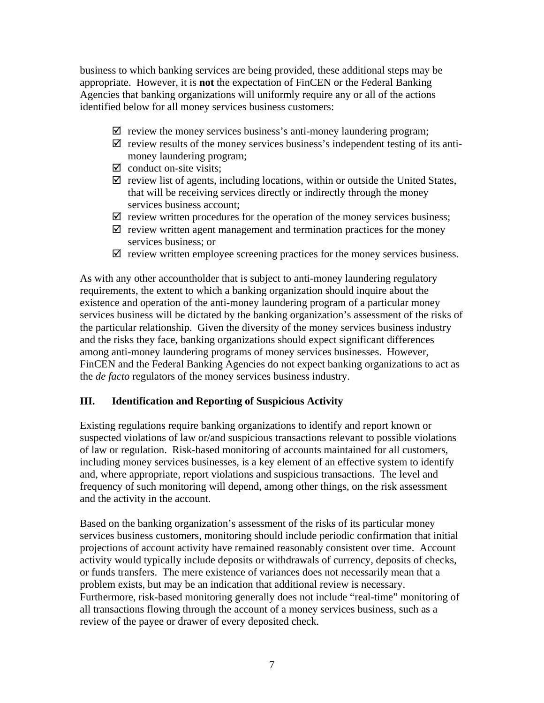business to which banking services are being provided, these additional steps may be appropriate. However, it is **not** the expectation of FinCEN or the Federal Banking Agencies that banking organizations will uniformly require any or all of the actions identified below for all money services business customers:

- $\boxtimes$  review the money services business's anti-money laundering program;
- $\boxtimes$  review results of the money services business's independent testing of its antimoney laundering program;
- $\boxtimes$  conduct on-site visits;
- $\boxtimes$  review list of agents, including locations, within or outside the United States, that will be receiving services directly or indirectly through the money services business account;
- $\boxtimes$  review written procedures for the operation of the money services business;
- $\boxtimes$  review written agent management and termination practices for the money services business; or
- $\boxtimes$  review written employee screening practices for the money services business.

As with any other accountholder that is subject to anti-money laundering regulatory requirements, the extent to which a banking organization should inquire about the existence and operation of the anti-money laundering program of a particular money services business will be dictated by the banking organization's assessment of the risks of the particular relationship. Given the diversity of the money services business industry and the risks they face, banking organizations should expect significant differences among anti-money laundering programs of money services businesses. However, FinCEN and the Federal Banking Agencies do not expect banking organizations to act as the *de facto* regulators of the money services business industry.

# **III. Identification and Reporting of Suspicious Activity**

Existing regulations require banking organizations to identify and report known or suspected violations of law or/and suspicious transactions relevant to possible violations of law or regulation. Risk-based monitoring of accounts maintained for all customers, including money services businesses, is a key element of an effective system to identify and, where appropriate, report violations and suspicious transactions. The level and frequency of such monitoring will depend, among other things, on the risk assessment and the activity in the account.

Based on the banking organization's assessment of the risks of its particular money services business customers, monitoring should include periodic confirmation that initial projections of account activity have remained reasonably consistent over time. Account activity would typically include deposits or withdrawals of currency, deposits of checks, or funds transfers. The mere existence of variances does not necessarily mean that a problem exists, but may be an indication that additional review is necessary. Furthermore, risk-based monitoring generally does not include "real-time" monitoring of all transactions flowing through the account of a money services business, such as a review of the payee or drawer of every deposited check.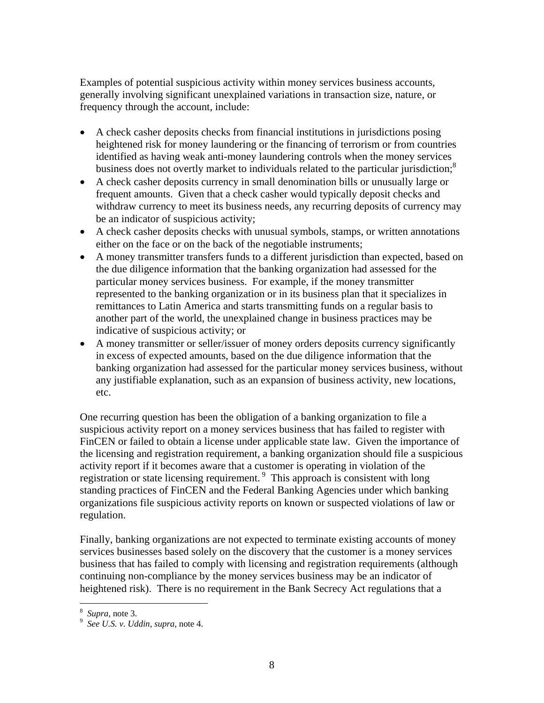Examples of potential suspicious activity within money services business accounts, generally involving significant unexplained variations in transaction size, nature, or frequency through the account, include:

- A check casher deposits checks from financial institutions in jurisdictions posing heightened risk for money laundering or the financing of terrorism or from countries identified as having weak anti-money laundering controls when the money services business does not overtly market to individuals related to the particular jurisdiction;<sup>[8](#page-7-0)</sup>
- A check casher deposits currency in small denomination bills or unusually large or frequent amounts. Given that a check casher would typically deposit checks and withdraw currency to meet its business needs, any recurring deposits of currency may be an indicator of suspicious activity;
- A check casher deposits checks with unusual symbols, stamps, or written annotations either on the face or on the back of the negotiable instruments;
- A money transmitter transfers funds to a different jurisdiction than expected, based on the due diligence information that the banking organization had assessed for the particular money services business. For example, if the money transmitter represented to the banking organization or in its business plan that it specializes in remittances to Latin America and starts transmitting funds on a regular basis to another part of the world, the unexplained change in business practices may be indicative of suspicious activity; or
- A money transmitter or seller/issuer of money orders deposits currency significantly in excess of expected amounts, based on the due diligence information that the banking organization had assessed for the particular money services business, without any justifiable explanation, such as an expansion of business activity, new locations, etc.

One recurring question has been the obligation of a banking organization to file a suspicious activity report on a money services business that has failed to register with FinCEN or failed to obtain a license under applicable state law. Given the importance of the licensing and registration requirement, a banking organization should file a suspicious activity report if it becomes aware that a customer is operating in violation of the registration or state licensing requirement. [9](#page-7-1) This approach is consistent with long standing practices of FinCEN and the Federal Banking Agencies under which banking organizations file suspicious activity reports on known or suspected violations of law or regulation.

Finally, banking organizations are not expected to terminate existing accounts of money services businesses based solely on the discovery that the customer is a money services business that has failed to comply with licensing and registration requirements (although continuing non-compliance by the money services business may be an indicator of heightened risk). There is no requirement in the Bank Secrecy Act regulations that a

1

<span id="page-7-0"></span> $\frac{8}{9}$  *Supra*, note 3.

<span id="page-7-1"></span>*See U.S. v. Uddin*, *supra,* note 4.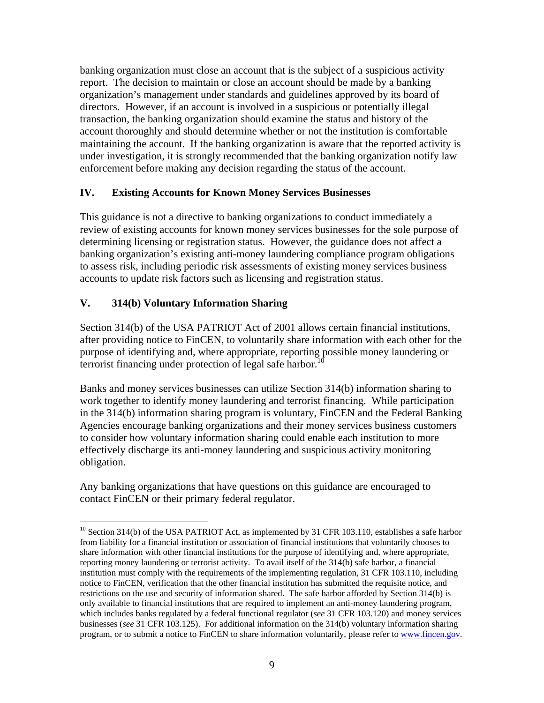banking organization must close an account that is the subject of a suspicious activity report. The decision to maintain or close an account should be made by a banking organization's management under standards and guidelines approved by its board of directors. However, if an account is involved in a suspicious or potentially illegal transaction, the banking organization should examine the status and history of the account thoroughly and should determine whether or not the institution is comfortable maintaining the account. If the banking organization is aware that the reported activity is under investigation, it is strongly recommended that the banking organization notify law enforcement before making any decision regarding the status of the account.

# **IV. Existing Accounts for Known Money Services Businesses**

This guidance is not a directive to banking organizations to conduct immediately a review of existing accounts for known money services businesses for the sole purpose of determining licensing or registration status. However, the guidance does not affect a banking organization's existing anti-money laundering compliance program obligations to assess risk, including periodic risk assessments of existing money services business accounts to update risk factors such as licensing and registration status.

# **V. 314(b) Voluntary Information Sharing**

 $\overline{a}$ 

Section 314(b) of the USA PATRIOT Act of 2001 allows certain financial institutions, after providing notice to FinCEN, to voluntarily share information with each other for the purpose of identifying and, where appropriate, reporting possible money laundering or terrorist financing under protection of legal safe harbor.<sup>10</sup>

Banks and money services businesses can utilize Section 314(b) information sharing to work together to identify money laundering and terrorist financing. While participation in the 314(b) information sharing program is voluntary, FinCEN and the Federal Banking Agencies encourage banking organizations and their money services business customers to consider how voluntary information sharing could enable each institution to more effectively discharge its anti-money laundering and suspicious activity monitoring obligation.

Any banking organizations that have questions on this guidance are encouraged to contact FinCEN or their primary federal regulator.

<span id="page-8-0"></span><sup>&</sup>lt;sup>10</sup> Section 314(b) of the USA PATRIOT Act, as implemented by 31 CFR 103.110, establishes a safe harbor from liability for a financial institution or association of financial institutions that voluntarily chooses to share information with other financial institutions for the purpose of identifying and, where appropriate, reporting money laundering or terrorist activity. To avail itself of the 314(b) safe harbor, a financial institution must comply with the requirements of the implementing regulation, 31 CFR 103.110, including notice to FinCEN, verification that the other financial institution has submitted the requisite notice, and restrictions on the use and security of information shared. The safe harbor afforded by Section 314(b) is only available to financial institutions that are required to implement an anti-money laundering program, which includes banks regulated by a federal functional regulator (*see* 31 CFR 103.120) and money services businesses (*see* 31 CFR 103.125). For additional information on the 314(b) voluntary information sharing program, or to submit a notice to FinCEN to share information voluntarily, please refer to [www.fincen.gov.](http://www.fincen.gov/)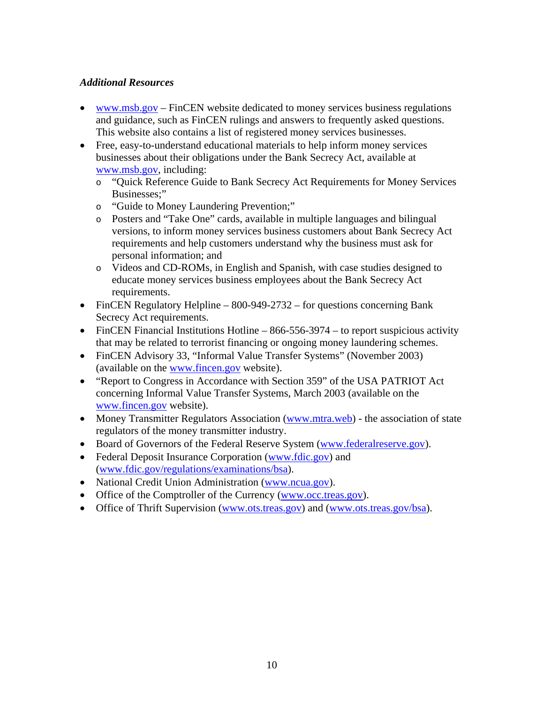# *Additional Resources*

- [www.msb.gov](http://www.msb.gov/) FinCEN website dedicated to money services business regulations and guidance, such as FinCEN rulings and answers to frequently asked questions. This website also contains a list of registered money services businesses.
- Free, easy-to-understand educational materials to help inform money services businesses about their obligations under the Bank Secrecy Act, available at [www.msb.gov](http://www.msb.gov/), including:
	- o "Quick Reference Guide to Bank Secrecy Act Requirements for Money Services Businesses;"
	- o "Guide to Money Laundering Prevention;"
	- o Posters and "Take One" cards, available in multiple languages and bilingual versions, to inform money services business customers about Bank Secrecy Act requirements and help customers understand why the business must ask for personal information; and
	- o Videos and CD-ROMs, in English and Spanish, with case studies designed to educate money services business employees about the Bank Secrecy Act requirements.
- FinCEN Regulatory Helpline 800-949-2732 for questions concerning Bank Secrecy Act requirements.
- FinCEN Financial Institutions Hotline  $-866-556-3974$  to report suspicious activity that may be related to terrorist financing or ongoing money laundering schemes.
- FinCEN Advisory 33, "Informal Value Transfer Systems" (November 2003) (available on the [www.fincen.gov](http://www.fincen.gov/) website).
- "Report to Congress in Accordance with Section 359" of the USA PATRIOT Act concerning Informal Value Transfer Systems, March 2003 (available on the [www.fincen.gov](http://www.fincen.gov/) website).
- Money Transmitter Regulators Association ([www.mtra.web\)](http://www.mtra.web/) the association of state regulators of the money transmitter industry.
- Board of Governors of the Federal Reserve System ([www.federalreserve.gov\)](http://www.federalreserve.gov/).
- Federal Deposit Insurance Corporation [\(www.fdic.gov\)](http://www.fdic.gov/) and ([www.fdic.gov/regulations/examinations/bsa\)](http://www.fdic.gov/regulations/examinations/bsa).
- National Credit Union Administration [\(www.ncua.gov\)](http://www.ncua.gov/).
- Office of the Comptroller of the Currency [\(www.occ.treas.gov\)](http://www.occ.treas.gov/).
- Office of Thrift Supervision ([www.ots.treas.gov\)](http://www.ots.treas.gov/) and ([www.ots.treas.gov/bsa\)](http://www.ots.treas.gov/bsa).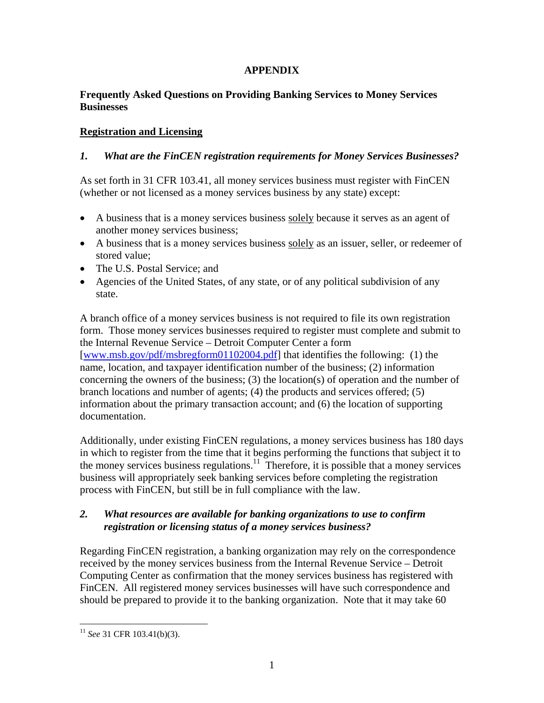# **APPENDIX**

# **Frequently Asked Questions on Providing Banking Services to Money Services Businesses**

# **Registration and Licensing**

# *1. What are the FinCEN registration requirements for Money Services Businesses?*

As set forth in 31 CFR 103.41, all money services business must register with FinCEN (whether or not licensed as a money services business by any state) except:

- A business that is a money services business solely because it serves as an agent of another money services business;
- A business that is a money services business solely as an issuer, seller, or redeemer of stored value;
- The U.S. Postal Service; and
- Agencies of the United States, of any state, or of any political subdivision of any state.

A branch office of a money services business is not required to file its own registration form. Those money services businesses required to register must complete and submit to the Internal Revenue Service – Detroit Computer Center a form [www.msb.gov/pdf/msbregform01102004.pdf] that identifies the following: (1) the name, location, and taxpayer identification number of the business; (2) information concerning the owners of the business; (3) the location(s) of operation and the number of branch locations and number of agents; (4) the products and services offered; (5) information about the primary transaction account; and (6) the location of supporting documentation.

Additionally, under existing FinCEN regulations, a money services business has 180 days in which to register from the time that it begins performing the functions that subject it to the money services business regulations.<sup>11</sup> Therefore, it is possible that a money services business will appropriately seek banking services before completing the registration process with FinCEN, but still be in full compliance with the law.

#### *2. What resources are available for banking organizations to use to confirm registration or licensing status of a money services business?*

Regarding FinCEN registration, a banking organization may rely on the correspondence received by the money services business from the Internal Revenue Service – Detroit Computing Center as confirmation that the money services business has registered with FinCEN. All registered money services businesses will have such correspondence and should be prepared to provide it to the banking organization. Note that it may take 60

 $\overline{a}$ 

<span id="page-10-0"></span><sup>11</sup> *See* 31 CFR 103.41(b)(3).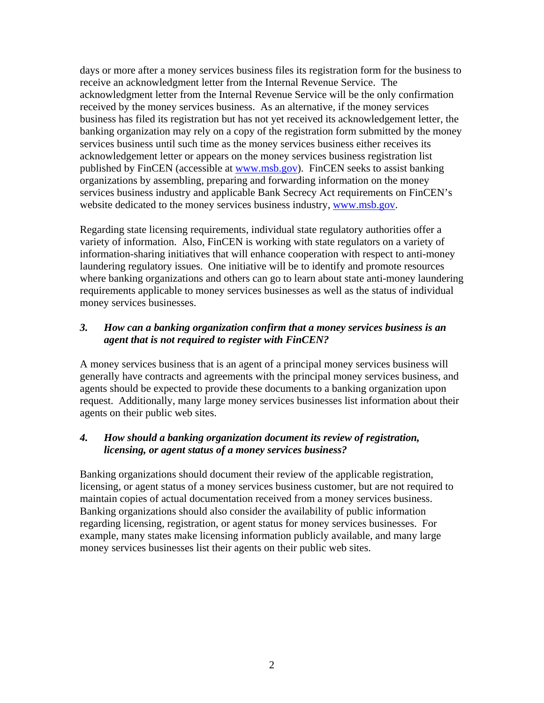days or more after a money services business files its registration form for the business to receive an acknowledgment letter from the Internal Revenue Service. The acknowledgment letter from the Internal Revenue Service will be the only confirmation received by the money services business. As an alternative, if the money services business has filed its registration but has not yet received its acknowledgement letter, the banking organization may rely on a copy of the registration form submitted by the money services business until such time as the money services business either receives its acknowledgement letter or appears on the money services business registration list published by FinCEN (accessible at [www.msb.gov\)](http://www.msb.gov/). FinCEN seeks to assist banking organizations by assembling, preparing and forwarding information on the money services business industry and applicable Bank Secrecy Act requirements on FinCEN's website dedicated to the money services business industry, [www.msb.gov.](http://www.msb.gov/)

Regarding state licensing requirements, individual state regulatory authorities offer a variety of information. Also, FinCEN is working with state regulators on a variety of information-sharing initiatives that will enhance cooperation with respect to anti-money laundering regulatory issues. One initiative will be to identify and promote resources where banking organizations and others can go to learn about state anti-money laundering requirements applicable to money services businesses as well as the status of individual money services businesses.

# *3. How can a banking organization confirm that a money services business is an agent that is not required to register with FinCEN?*

A money services business that is an agent of a principal money services business will generally have contracts and agreements with the principal money services business, and agents should be expected to provide these documents to a banking organization upon request. Additionally, many large money services businesses list information about their agents on their public web sites.

#### *4. How should a banking organization document its review of registration, licensing, or agent status of a money services business?*

Banking organizations should document their review of the applicable registration, licensing, or agent status of a money services business customer, but are not required to maintain copies of actual documentation received from a money services business. Banking organizations should also consider the availability of public information regarding licensing, registration, or agent status for money services businesses. For example, many states make licensing information publicly available, and many large money services businesses list their agents on their public web sites.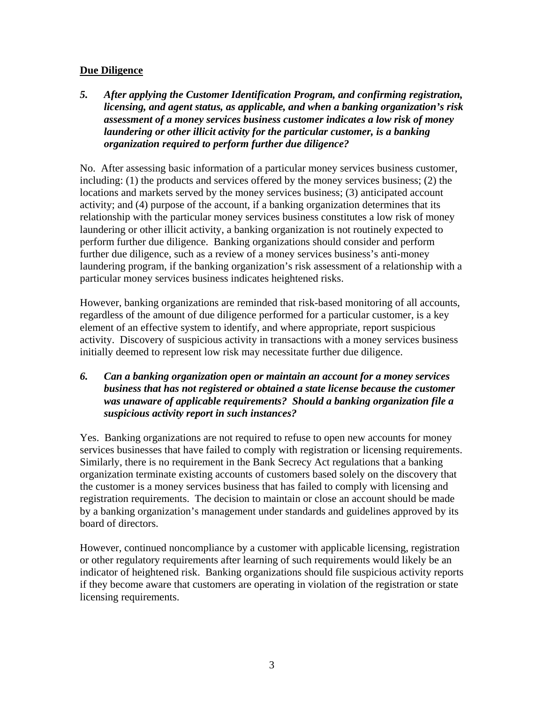# **Due Diligence**

*5. After applying the Customer Identification Program, and confirming registration, licensing, and agent status, as applicable, and when a banking organization's risk assessment of a money services business customer indicates a low risk of money laundering or other illicit activity for the particular customer, is a banking organization required to perform further due diligence?* 

No. After assessing basic information of a particular money services business customer, including: (1) the products and services offered by the money services business; (2) the locations and markets served by the money services business; (3) anticipated account activity; and (4) purpose of the account, if a banking organization determines that its relationship with the particular money services business constitutes a low risk of money laundering or other illicit activity, a banking organization is not routinely expected to perform further due diligence. Banking organizations should consider and perform further due diligence, such as a review of a money services business's anti-money laundering program, if the banking organization's risk assessment of a relationship with a particular money services business indicates heightened risks.

However, banking organizations are reminded that risk-based monitoring of all accounts, regardless of the amount of due diligence performed for a particular customer, is a key element of an effective system to identify, and where appropriate, report suspicious activity. Discovery of suspicious activity in transactions with a money services business initially deemed to represent low risk may necessitate further due diligence.

*6. Can a banking organization open or maintain an account for a money services business that has not registered or obtained a state license because the customer was unaware of applicable requirements? Should a banking organization file a suspicious activity report in such instances?* 

Yes. Banking organizations are not required to refuse to open new accounts for money services businesses that have failed to comply with registration or licensing requirements. Similarly, there is no requirement in the Bank Secrecy Act regulations that a banking organization terminate existing accounts of customers based solely on the discovery that the customer is a money services business that has failed to comply with licensing and registration requirements. The decision to maintain or close an account should be made by a banking organization's management under standards and guidelines approved by its board of directors.

However, continued noncompliance by a customer with applicable licensing, registration or other regulatory requirements after learning of such requirements would likely be an indicator of heightened risk. Banking organizations should file suspicious activity reports if they become aware that customers are operating in violation of the registration or state licensing requirements.